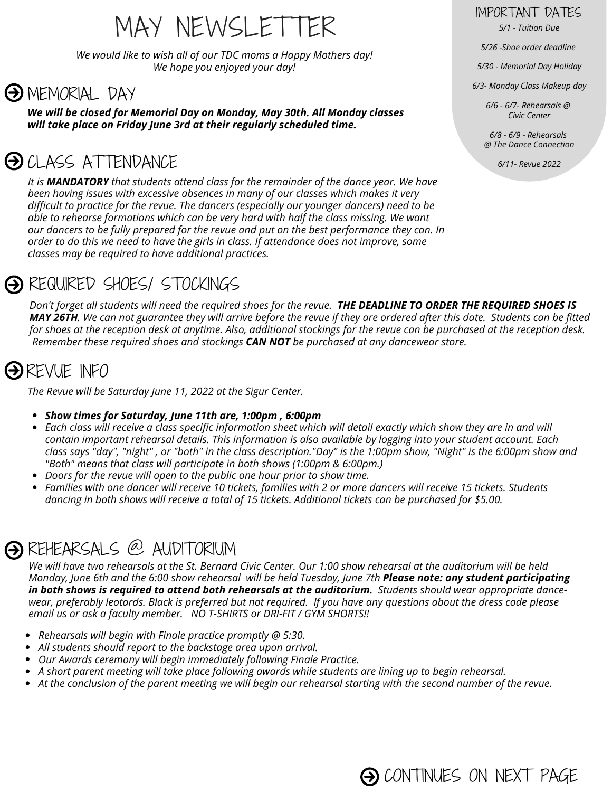# MAY NEWSLETTER *5/1 - Tuition Due*

*We would like to wish all of our TDC moms a Happy Mothers day! We hope you enjoyed your day!*

#### **A** MEMORIAL DAY

*We will be closed for Memorial Day on Monday, May 30th. All Monday classes will take place on Friday June 3rd at their regularly scheduled time.*

## **OD** CLASS ATTENDANCE

*It is MANDATORY that students attend class for the remainder of the dance year. We have been having issues with excessive absences in many of our classes which makes it very difficult to practice for the revue. The dancers (especially our younger dancers) need to be able to rehearse formations which can be very hard with half the class missing. We want our dancers to be fully prepared for the revue and put on the best performance they can. In order to do this we need to have the girls in class. If attendance does not improve, some classes may be required to have additional practices.*

### REQUIRED SHOES/ STOCKINGS

Don't forget all students will need the required shoes for the revue. THE DEADLINE TO ORDER THE REQUIRED SHOES IS MAY 26TH. We can not guarantee they will arrive before the revue if they are ordered after this date. Students can be fitted for shoes at the reception desk at anytime. Also, additional stockings for the revue can be purchased at the reception desk. *Remember these required shoes and stockings CAN NOT be purchased at any dancewear store.*

### **O**REVUE INFO

*The Revue will be Saturday June 11, 2022 at the Sigur Center.*

- *Show times for Saturday, June 11th are, 1:00pm , 6:00pm*
- Each class will receive a class specific information sheet which will detail exactly which show they are in and will  $\bullet$ contain important rehearsal details. This information is also available by logging into your student account. Each class says "day", "night", or "both" in the class description."Day" is the 1:00pm show, "Night" is the 6:00pm show and *"Both" means that class will participate in both shows (1:00pm & 6:00pm.)*
- *Doors for the revue will open to the public one hour prior to show time.*
- Families with one dancer will receive 10 tickets, families with 2 or more dancers will receive 15 tickets. Students dancing in both shows will receive a total of 15 tickets. Additional tickets can be purchased for \$5.00.

### REHEARSALS @ AUDITORIUM

We will have two rehearsals at the St. Bernard Civic Center. Our 1:00 show rehearsal at the auditorium will be held Monday, June 6th and the 6:00 show rehearsal will be held Tuesday, June 7th Please note: any student participating in both shows is required to attend both rehearsals at the auditorium. Students should wear appropriate dancewear, preferably leotards. Black is preferred but not required. If you have any questions about the dress code please *email us or ask a faculty member. NO T-SHIRTS or DRI-FIT / GYM SHORTS!!*

- *Rehearsals will begin with Finale practice promptly @ 5:30.*
- *All students should report to the backstage area upon arrival.*
- *Our Awards ceremony will begin immediately following Finale Practice.*
- *A short parent meeting will take place following awards while students are lining up to begin rehearsal.*
- At the conclusion of the parent meeting we will begin our rehearsal starting with the second number of the revue.

IMPORTANT DATES

*5/26 -Shoe order deadline*

*5/30 - Memorial Day Holiday*

*6/3- Monday Class Makeup day*

*6/6 - 6/7- Rehearsals @ Civic Center*

*6/8 - 6/9 - Rehearsals @ The Dance Connection*

*6/11- Revue 2022*